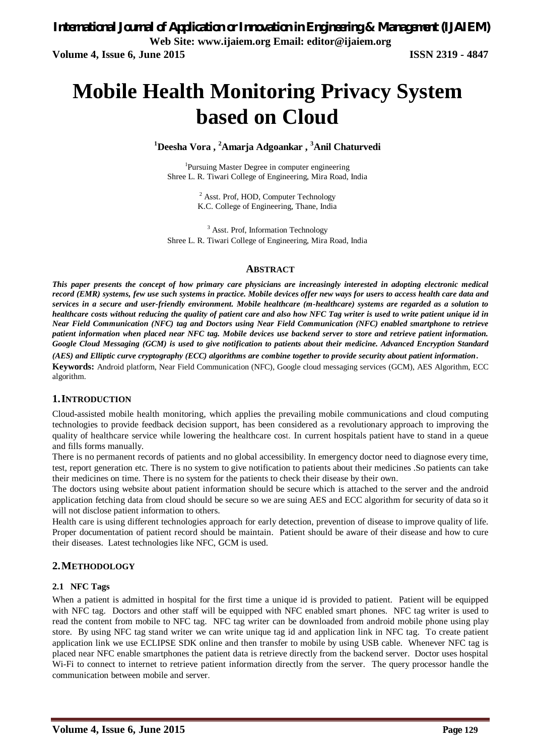# **Mobile Health Monitoring Privacy System based on Cloud**

**<sup>1</sup>Deesha Vora , <sup>2</sup>Amarja Adgoankar , <sup>3</sup>Anil Chaturvedi**

<sup>1</sup>Pursuing Master Degree in computer engineering Shree L. R. Tiwari College of Engineering, Mira Road, India

> <sup>2</sup> Asst. Prof, HOD, Computer Technology K.C. College of Engineering, Thane, India

<sup>3</sup> Asst. Prof, Information Technology Shree L. R. Tiwari College of Engineering, Mira Road, India

#### **ABSTRACT**

*This paper presents the concept of how primary care physicians are increasingly interested in adopting electronic medical record (EMR) systems, few use such systems in practice. Mobile devices offer new ways for users to access health care data and services in a secure and user-friendly environment. Mobile healthcare (m-healthcare) systems are regarded as a solution to healthcare costs without reducing the quality of patient care and also how NFC Tag writer is used to write patient unique id in Near Field Communication (NFC) tag and Doctors using Near Field Communication (NFC) enabled smartphone to retrieve patient information when placed near NFC tag. Mobile devices use backend server to store and retrieve patient information. Google Cloud Messaging (GCM) is used to give notification to patients about their medicine. Advanced Encryption Standard*

*(AES) and Elliptic curve cryptography (ECC) algorithms are combine together to provide security about patient information*. **Keywords:** Android platform, Near Field Communication (NFC), Google cloud messaging services (GCM), AES Algorithm, ECC algorithm.

#### **1.INTRODUCTION**

Cloud-assisted mobile health monitoring, which applies the prevailing mobile communications and cloud computing technologies to provide feedback decision support, has been considered as a revolutionary approach to improving the quality of healthcare service while lowering the healthcare cost. In current hospitals patient have to stand in a queue and fills forms manually.

There is no permanent records of patients and no global accessibility. In emergency doctor need to diagnose every time, test, report generation etc. There is no system to give notification to patients about their medicines .So patients can take their medicines on time. There is no system for the patients to check their disease by their own.

The doctors using website about patient information should be secure which is attached to the server and the android application fetching data from cloud should be secure so we are suing AES and ECC algorithm for security of data so it will not disclose patient information to others.

Health care is using different technologies approach for early detection, prevention of disease to improve quality of life. Proper documentation of patient record should be maintain. Patient should be aware of their disease and how to cure their diseases. Latest technologies like NFC, GCM is used.

#### **2.METHODOLOGY**

#### **2.1 NFC Tags**

When a patient is admitted in hospital for the first time a unique id is provided to patient. Patient will be equipped with NFC tag. Doctors and other staff will be equipped with NFC enabled smart phones. NFC tag writer is used to read the content from mobile to NFC tag. NFC tag writer can be downloaded from android mobile phone using play store. By using NFC tag stand writer we can write unique tag id and application link in NFC tag. To create patient application link we use ECLIPSE SDK online and then transfer to mobile by using USB cable. Whenever NFC tag is placed near NFC enable smartphones the patient data is retrieve directly from the backend server. Doctor uses hospital Wi-Fi to connect to internet to retrieve patient information directly from the server. The query processor handle the communication between mobile and server.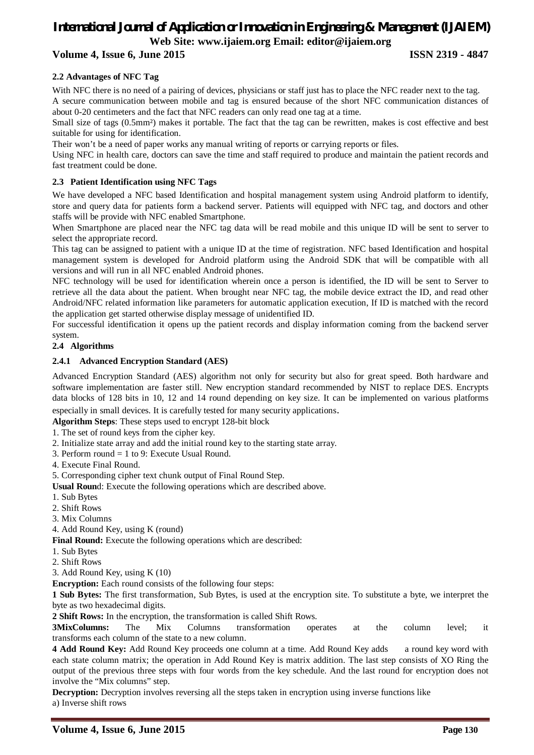### *International Journal of Application or Innovation in Engineering & Management (IJAIEM)* **Web Site: www.ijaiem.org Email: editor@ijaiem.org**

### **Volume 4, Issue 6, June 2015 ISSN 2319 - 4847**

#### **2.2 Advantages of NFC Tag**

With NFC there is no need of a pairing of devices, physicians or staff just has to place the NFC reader next to the tag. A secure communication between mobile and tag is ensured because of the short NFC communication distances of about 0-20 centimeters and the fact that NFC readers can only read one tag at a time.

Small size of tags (0.5mm<sup>2</sup>) makes it portable. The fact that the tag can be rewritten, makes is cost effective and best suitable for using for identification.

Their won't be a need of paper works any manual writing of reports or carrying reports or files.

Using NFC in health care, doctors can save the time and staff required to produce and maintain the patient records and fast treatment could be done.

#### **2.3 Patient Identification using NFC Tags**

We have developed a NFC based Identification and hospital management system using Android platform to identify, store and query data for patients form a backend server. Patients will equipped with NFC tag, and doctors and other staffs will be provide with NFC enabled Smartphone.

When Smartphone are placed near the NFC tag data will be read mobile and this unique ID will be sent to server to select the appropriate record.

This tag can be assigned to patient with a unique ID at the time of registration. NFC based Identification and hospital management system is developed for Android platform using the Android SDK that will be compatible with all versions and will run in all NFC enabled Android phones.

NFC technology will be used for identification wherein once a person is identified, the ID will be sent to Server to retrieve all the data about the patient. When brought near NFC tag, the mobile device extract the ID, and read other Android/NFC related information like parameters for automatic application execution, If ID is matched with the record the application get started otherwise display message of unidentified ID.

For successful identification it opens up the patient records and display information coming from the backend server system.

#### **2.4 Algorithms**

#### **2.4.1 Advanced Encryption Standard (AES)**

Advanced Encryption Standard (AES) algorithm not only for security but also for great speed. Both hardware and software implementation are faster still. New encryption standard recommended by NIST to replace DES. Encrypts data blocks of 128 bits in 10, 12 and 14 round depending on key size. It can be implemented on various platforms

especially in small devices. It is carefully tested for many security applications.

**Algorithm Steps**: These steps used to encrypt 128-bit block

1. The set of round keys from the cipher key.

2. Initialize state array and add the initial round key to the starting state array.

3. Perform round = 1 to 9: Execute Usual Round.

4. Execute Final Round.

5. Corresponding cipher text chunk output of Final Round Step.

**Usual Roun**d: Execute the following operations which are described above.

1. Sub Bytes

2. Shift Rows

3. Mix Columns

4. Add Round Key, using K (round)

**Final Round:** Execute the following operations which are described:

- 1. Sub Bytes
- 2. Shift Rows
- 3. Add Round Key, using K (10)

**Encryption:** Each round consists of the following four steps:

**1 Sub Bytes:** The first transformation, Sub Bytes, is used at the encryption site. To substitute a byte, we interpret the byte as two hexadecimal digits.

**2 Shift Rows:** In the encryption, the transformation is called Shift Rows.

**3MixColumns:** The Mix Columns transformation operates at the column level; it transforms each column of the state to a new column.

**4 Add Round Key:** Add Round Key proceeds one column at a time. Add Round Key adds a round key word with each state column matrix; the operation in Add Round Key is matrix addition. The last step consists of XO Ring the output of the previous three steps with four words from the key schedule. And the last round for encryption does not involve the "Mix columns" step.

**Decryption:** Decryption involves reversing all the steps taken in encryption using inverse functions like a) Inverse shift rows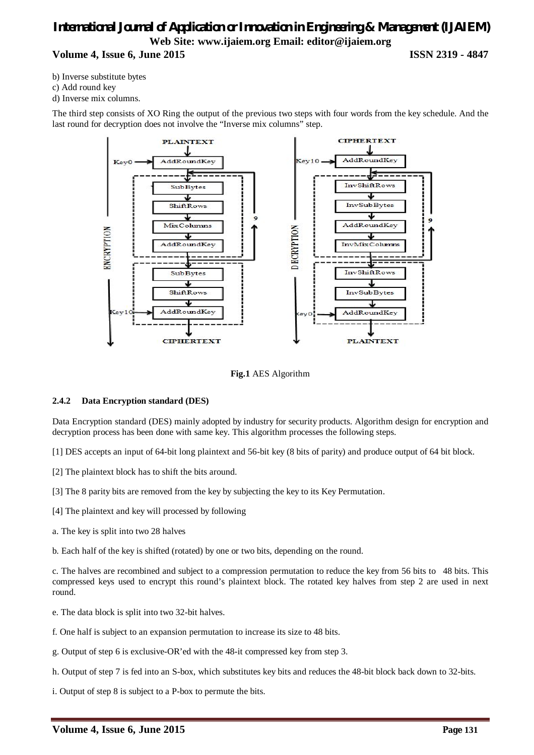### *International Journal of Application or Innovation in Engineering & Management (IJAIEM)* **Web Site: www.ijaiem.org Email: editor@ijaiem.org Volume 4, Issue 6, June 2015 ISSN 2319 - 4847**

b) Inverse substitute bytes

c) Add round key

d) Inverse mix columns.

The third step consists of XO Ring the output of the previous two steps with four words from the key schedule. And the last round for decryption does not involve the "Inverse mix columns" step.



**Fig.1** AES Algorithm

#### **2.4.2 Data Encryption standard (DES)**

Data Encryption standard (DES) mainly adopted by industry for security products. Algorithm design for encryption and decryption process has been done with same key. This algorithm processes the following steps.

- [1] DES accepts an input of 64-bit long plaintext and 56-bit key (8 bits of parity) and produce output of 64 bit block.
- [2] The plaintext block has to shift the bits around.
- [3] The 8 parity bits are removed from the key by subjecting the key to its Key Permutation.
- [4] The plaintext and key will processed by following
- a. The key is split into two 28 halves
- b. Each half of the key is shifted (rotated) by one or two bits, depending on the round.

c. The halves are recombined and subject to a compression permutation to reduce the key from 56 bits to 48 bits. This compressed keys used to encrypt this round's plaintext block. The rotated key halves from step 2 are used in next round.

- e. The data block is split into two 32-bit halves.
- f. One half is subject to an expansion permutation to increase its size to 48 bits.
- g. Output of step 6 is exclusive-OR'ed with the 48-it compressed key from step 3.
- h. Output of step 7 is fed into an S-box, which substitutes key bits and reduces the 48-bit block back down to 32-bits.
- i. Output of step 8 is subject to a P-box to permute the bits.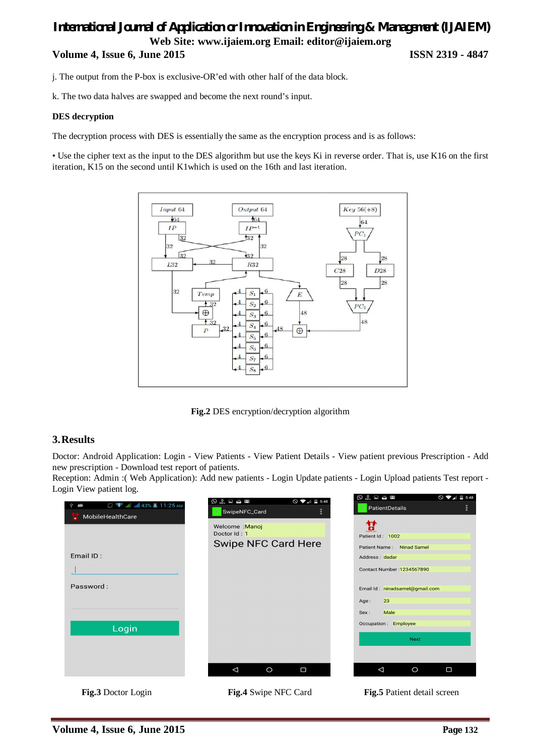### *International Journal of Application or Innovation in Engineering & Management (IJAIEM)* **Web Site: www.ijaiem.org Email: editor@ijaiem.org Volume 4, Issue 6, June 2015 ISSN 2319 - 4847**

j. The output from the P-box is exclusive-OR'ed with other half of the data block.

k. The two data halves are swapped and become the next round's input.

#### **DES decryption**

The decryption process with DES is essentially the same as the encryption process and is as follows:

• Use the cipher text as the input to the DES algorithm but use the keys Ki in reverse order. That is, use K16 on the first iteration, K15 on the second until K1which is used on the 16th and last iteration.



**Fig.2** DES encryption/decryption algorithm

#### **3.Results**

Doctor: Android Application: Login - View Patients - View Patient Details - View patient previous Prescription - Add new prescription - Download test report of patients.

Reception: Admin :( Web Application): Add new patients - Login Update patients - Login Upload patients Test report - Login View patient log.

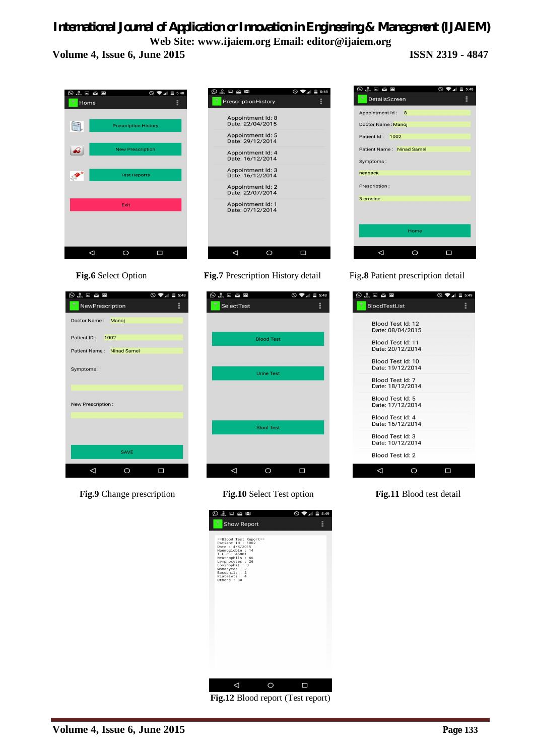### *International Journal of Application or Innovation in Engineering & Management (IJAIEM)* **Web Site: www.ijaiem.org Email: editor@ijaiem.org**

**Volume 4, Issue 6, June 2015 ISSN 2319 - 4847**

**Prescription History** 

New Prescription

**Test Reports** 

 $Exit$ 

 $\circ$ 

 $\square$ 

 $\circ$   $\bullet$   $\bullet$  5:48

) 0 ⊟ ఆ

Home

 $\mathbb{R}$ 

 $\rightarrow$ 

◆

 $\begin{array}{c} 0 \\ \hline \end{array}$  $\bigcirc \bullet$   $\bullet$   $\bullet$  = 5:48 PrescriptionHistory Appointment Id: 8<br>Date: 22/04/2015 Appointment Id: 5<br>Date: 29/12/2014 Appointment Id: 4<br>Date: 16/12/2014 Appointment Id: 3<br>Date: 16/12/2014 Appointment Id: 2<br>Date: 22/07/2014 Appointment Id: 1<br>Date: 07/12/2014  $\Delta$  $\circ$  $\Box$ 

 $\odot$   $\odot$   $\square$   $\cong$   $\square$  $\mathbb{R}$  5:49  $\circ$   $\bullet$ ia<br>DetailsScreen Appointment Id: 8 Doctor Name : Manoi Patient Id: 1002 Patient Name: Ninad Samel Symptoms headack Prescription 3 crosine Home  $\Delta$  $\circ$  $\blacksquare$ 

**Fig.6** Select Option **Fig.7** Prescription History detail Fig**.8** Patient prescription detail

 $\circledcirc$   $\circledcirc$   $\square$   $\simeq$   $\square$  $\circ$   $\bullet$   $\bullet$  5:49 BloodTestList ă Blood Test Id: 12 Date: 08/04/2015 Blood Test Id: 11 Date: 20/12/2014 Blood Test Id: 10 Diosa Test Tal. To Blood Test Id: 7<br>Date: 18/12/2014 Blood Test Id: 5 Date: 17/12/2014 Blood Test Id: 4 Diosa Test Ta: -7<br>Date: 16/12/2014 Blood Test Id: 3 Date: 10/12/2014 Blood Test Id: 2  $\Delta$  $\circ$  $\Box$ 



 $\Delta$ 

| $\bigcirc$ $\bigcirc$ $\bigcirc$ $\bigcirc$ $\bigcirc$ $\bigcirc$ | $\circ$ $\bullet$ $\bullet$ 5:48 |  |
|-------------------------------------------------------------------|----------------------------------|--|
| NewPrescription                                                   | H                                |  |
| Doctor Name: Manoj                                                |                                  |  |
| Patient ID: 1002                                                  |                                  |  |
| Patient Name: Ninad Samel                                         |                                  |  |
| Symptoms:                                                         |                                  |  |
| New Prescription:                                                 |                                  |  |
|                                                                   |                                  |  |
| <b>SAVE</b>                                                       |                                  |  |
|                                                                   |                                  |  |

**Fig.9** Change prescription **Fig.10** Select Test option **Fig.11** Blood test detail





**Fig.12** Blood report (Test report)